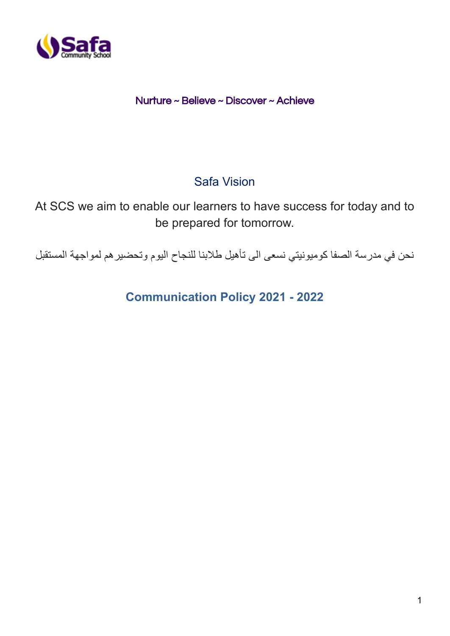

# Nurture ~ Believe ~ Discover ~ Achieve

# Safa Vision

At SCS we aim to enable our learners to have success for today and to be prepared for tomorrow.

نحن في مدرسة الصفا كوميونيتي نسعى الى تأهيل طالبنا للنجاح اليوم وتحضيرهم لمواجهة المستقبل

**Communication Policy 2021 - 2022**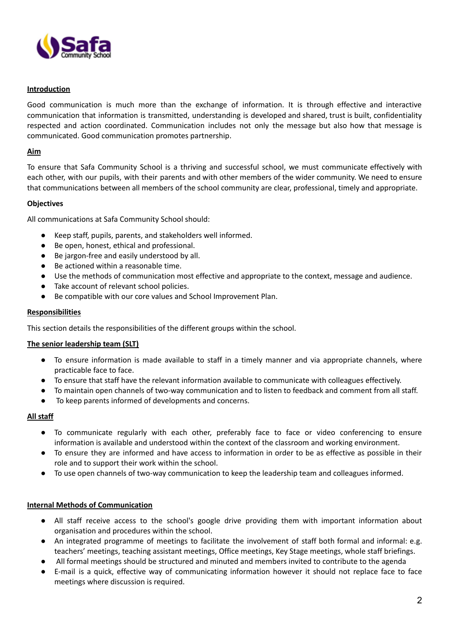

## **Introduction**

Good communication is much more than the exchange of information. It is through effective and interactive communication that information is transmitted, understanding is developed and shared, trust is built, confidentiality respected and action coordinated. Communication includes not only the message but also how that message is communicated. Good communication promotes partnership.

#### **Aim**

To ensure that Safa Community School is a thriving and successful school, we must communicate effectively with each other, with our pupils, with their parents and with other members of the wider community. We need to ensure that communications between all members of the school community are clear, professional, timely and appropriate.

#### **Objectives**

All communications at Safa Community School should:

- Keep staff, pupils, parents, and stakeholders well informed.
- Be open, honest, ethical and professional.
- Be jargon-free and easily understood by all.
- Be actioned within a reasonable time.
- Use the methods of communication most effective and appropriate to the context, message and audience.
- Take account of relevant school policies.
- Be compatible with our core values and School Improvement Plan.

#### **Responsibilities**

This section details the responsibilities of the different groups within the school.

#### **The senior leadership team (SLT)**

- To ensure information is made available to staff in a timely manner and via appropriate channels, where practicable face to face.
- To ensure that staff have the relevant information available to communicate with colleagues effectively.
- To maintain open channels of two-way communication and to listen to feedback and comment from all staff.
- To keep parents informed of developments and concerns.

#### **All staff**

- To communicate regularly with each other, preferably face to face or video conferencing to ensure information is available and understood within the context of the classroom and working environment.
- To ensure they are informed and have access to information in order to be as effective as possible in their role and to support their work within the school.
- To use open channels of two-way communication to keep the leadership team and colleagues informed.

#### **Internal Methods of Communication**

- All staff receive access to the school's google drive providing them with important information about organisation and procedures within the school.
- An integrated programme of meetings to facilitate the involvement of staff both formal and informal: e.g. teachers' meetings, teaching assistant meetings, Office meetings, Key Stage meetings, whole staff briefings.
- All formal meetings should be structured and minuted and members invited to contribute to the agenda
- E-mail is a quick, effective way of communicating information however it should not replace face to face meetings where discussion is required.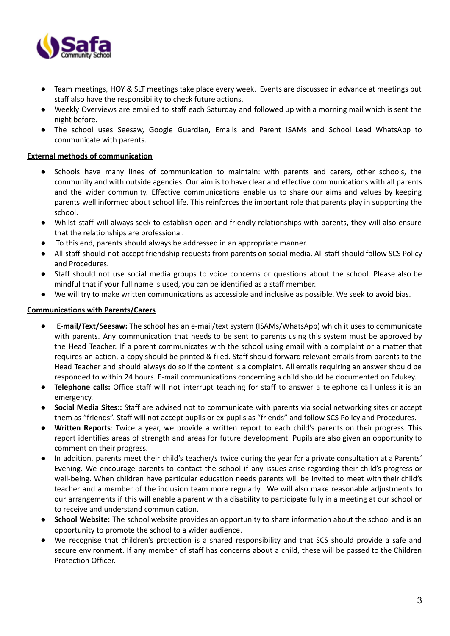

- Team meetings, HOY & SLT meetings take place every week. Events are discussed in advance at meetings but staff also have the responsibility to check future actions.
- Weekly Overviews are emailed to staff each Saturday and followed up with a morning mail which is sent the night before.
- The school uses Seesaw, Google Guardian, Emails and Parent ISAMs and School Lead WhatsApp to communicate with parents.

# **External methods of communication**

- Schools have many lines of communication to maintain: with parents and carers, other schools, the community and with outside agencies. Our aim is to have clear and effective communications with all parents and the wider community. Effective communications enable us to share our aims and values by keeping parents well informed about school life. This reinforces the important role that parents play in supporting the school.
- Whilst staff will always seek to establish open and friendly relationships with parents, they will also ensure that the relationships are professional.
- To this end, parents should always be addressed in an appropriate manner.
- All staff should not accept friendship requests from parents on social media. All staff should follow SCS Policy and Procedures.
- Staff should not use social media groups to voice concerns or questions about the school. Please also be mindful that if your full name is used, you can be identified as a staff member.
- We will try to make written communications as accessible and inclusive as possible. We seek to avoid bias.

# **Communications with Parents/Carers**

- **E-mail/Text/Seesaw:** The school has an e-mail/text system (ISAMs/WhatsApp) which it uses to communicate with parents. Any communication that needs to be sent to parents using this system must be approved by the Head Teacher. If a parent communicates with the school using email with a complaint or a matter that requires an action, a copy should be printed & filed. Staff should forward relevant emails from parents to the Head Teacher and should always do so if the content is a complaint. All emails requiring an answer should be responded to within 24 hours. E-mail communications concerning a child should be documented on Edukey.
- **Telephone calls:** Office staff will not interrupt teaching for staff to answer a telephone call unless it is an emergency.
- **Social Media Sites::** Staff are advised not to communicate with parents via social networking sites or accept them as "friends". Staff will not accept pupils or ex-pupils as "friends" and follow SCS Policy and Procedures.
- **Written Reports**: Twice a year, we provide a written report to each child's parents on their progress. This report identifies areas of strength and areas for future development. Pupils are also given an opportunity to comment on their progress.
- In addition, parents meet their child's teacher/s twice during the year for a private consultation at a Parents' Evening. We encourage parents to contact the school if any issues arise regarding their child's progress or well-being. When children have particular education needs parents will be invited to meet with their child's teacher and a member of the inclusion team more regularly. We will also make reasonable adjustments to our arrangements if this will enable a parent with a disability to participate fully in a meeting at our school or to receive and understand communication.
- **School Website:** The school website provides an opportunity to share information about the school and is an opportunity to promote the school to a wider audience.
- We recognise that children's protection is a shared responsibility and that SCS should provide a safe and secure environment. If any member of staff has concerns about a child, these will be passed to the Children Protection Officer.